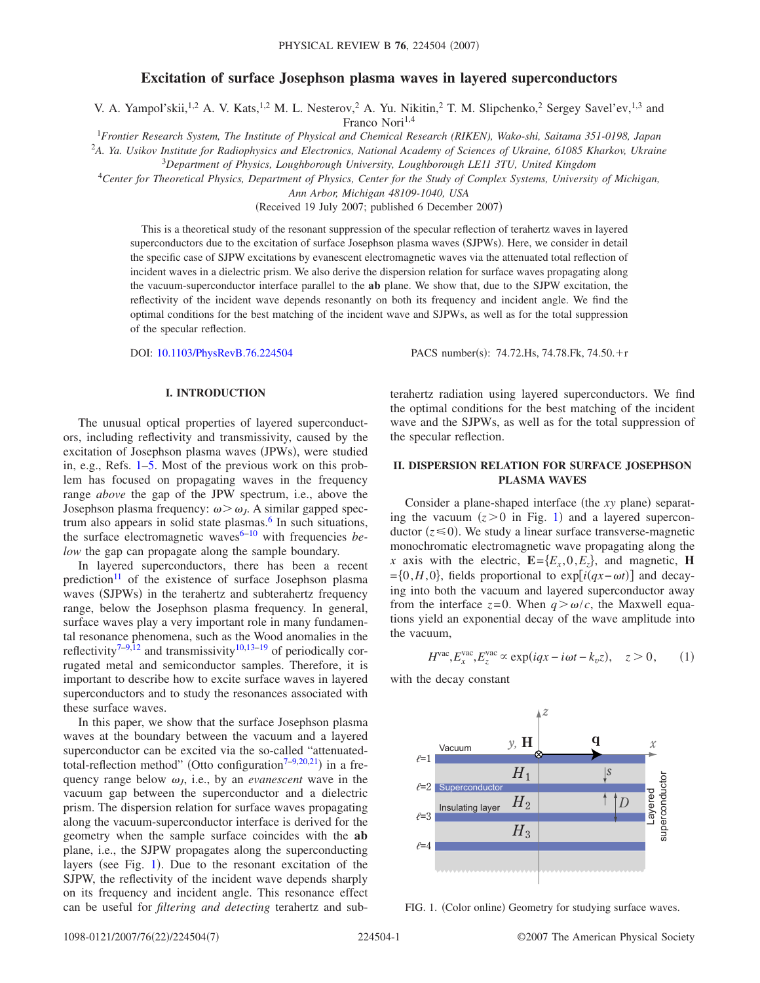# **Excitation of surface Josephson plasma waves in layered superconductors**

V. A. Yampol'skii,<sup>1,2</sup> A. V. Kats,<sup>1,2</sup> M. L. Nesterov,<sup>2</sup> A. Yu. Nikitin,<sup>2</sup> T. M. Slipchenko,<sup>2</sup> Sergey Savel'ev,<sup>1,3</sup> and Franco Nori<sup>1,4</sup>

<sup>1</sup>*Frontier Research System, The Institute of Physical and Chemical Research (RIKEN), Wako-shi, Saitama 351-0198, Japan*

2 *A. Ya. Usikov Institute for Radiophysics and Electronics, National Academy of Sciences of Ukraine, 61085 Kharkov, Ukraine*

<sup>3</sup>*Department of Physics, Loughborough University, Loughborough LE11 3TU, United Kingdom*

<sup>4</sup>*Center for Theoretical Physics, Department of Physics, Center for the Study of Complex Systems, University of Michigan,*

*Ann Arbor, Michigan 48109-1040, USA*

(Received 19 July 2007; published 6 December 2007)

This is a theoretical study of the resonant suppression of the specular reflection of terahertz waves in layered superconductors due to the excitation of surface Josephson plasma waves (SJPWs). Here, we consider in detail the specific case of SJPW excitations by evanescent electromagnetic waves via the attenuated total reflection of incident waves in a dielectric prism. We also derive the dispersion relation for surface waves propagating along the vacuum-superconductor interface parallel to the **ab** plane. We show that, due to the SJPW excitation, the reflectivity of the incident wave depends resonantly on both its frequency and incident angle. We find the optimal conditions for the best matching of the incident wave and SJPWs, as well as for the total suppression of the specular reflection.

DOI: [10.1103/PhysRevB.76.224504](http://dx.doi.org/10.1103/PhysRevB.76.224504)

#### **I. INTRODUCTION**

The unusual optical properties of layered superconductors, including reflectivity and transmissivity, caused by the excitation of Josephson plasma waves (JPWs), were studied in, e.g., Refs. [1](#page-6-0)[–5.](#page-6-1) Most of the previous work on this problem has focused on propagating waves in the frequency range *above* the gap of the JPW spectrum, i.e., above the Josephson plasma frequency:  $\omega > \omega_J$ . A similar gapped spectrum also appears in solid state plasmas.<sup>6</sup> In such situations, the surface electromagnetic wave[s6–](#page-6-2)[10](#page-6-3) with frequencies *below* the gap can propagate along the sample boundary.

In layered superconductors, there has been a recent prediction<sup>11</sup> of the existence of surface Josephson plasma waves (SJPWs) in the terahertz and subterahertz frequency range, below the Josephson plasma frequency. In general, surface waves play a very important role in many fundamental resonance phenomena, such as the Wood anomalies in the reflectivity<sup>7[–9,](#page-6-6)[12](#page-6-7)</sup> and transmissivity<sup>10[,13](#page-6-8)[–19](#page-6-9)</sup> of periodically corrugated metal and semiconductor samples. Therefore, it is important to describe how to excite surface waves in layered superconductors and to study the resonances associated with these surface waves.

In this paper, we show that the surface Josephson plasma waves at the boundary between the vacuum and a layered superconductor can be excited via the so-called "attenuatedtotal-reflection method" (Otto configuration<sup> $7-9,20,21$  $7-9,20,21$  $7-9,20,21$  $7-9,20,21$ </sup>) in a frequency range below  $\omega_J$ , i.e., by an *evanescent* wave in the vacuum gap between the superconductor and a dielectric prism. The dispersion relation for surface waves propagating along the vacuum-superconductor interface is derived for the geometry when the sample surface coincides with the **ab** plane, i.e., the SJPW propagates along the superconducting layers (see Fig. [1](#page-0-0)). Due to the resonant excitation of the SJPW, the reflectivity of the incident wave depends sharply on its frequency and incident angle. This resonance effect can be useful for *filtering and detecting* terahertz and subPACS number(s): 74.72.Hs, 74.78.Fk, 74.50. $+r$ 

terahertz radiation using layered superconductors. We find the optimal conditions for the best matching of the incident wave and the SJPWs, as well as for the total suppression of the specular reflection.

## **II. DISPERSION RELATION FOR SURFACE JOSEPHSON PLASMA WAVES**

Consider a plane-shaped interface (the *xy* plane) separating the vacuum  $(z>0$  in Fig. [1](#page-0-0)) and a layered superconductor  $(z \le 0)$ . We study a linear surface transverse-magnetic monochromatic electromagnetic wave propagating along the *x* axis with the electric,  $\mathbf{E} = \{E_x, 0, E_z\}$ , and magnetic, **H**  $=[0, H, 0]$ , fields proportional to exp[ $i(qx - \omega t)$ ] and decaying into both the vacuum and layered superconductor away from the interface  $z=0$ . When  $q > \omega/c$ , the Maxwell equations yield an exponential decay of the wave amplitude into the vacuum,

$$
Hvac, Exvac, Ezvac \propto \exp(iqx - i\omega t - k_v z), \quad z > 0,
$$
 (1)

with the decay constant

<span id="page-0-0"></span>

FIG. 1. (Color online) Geometry for studying surface waves.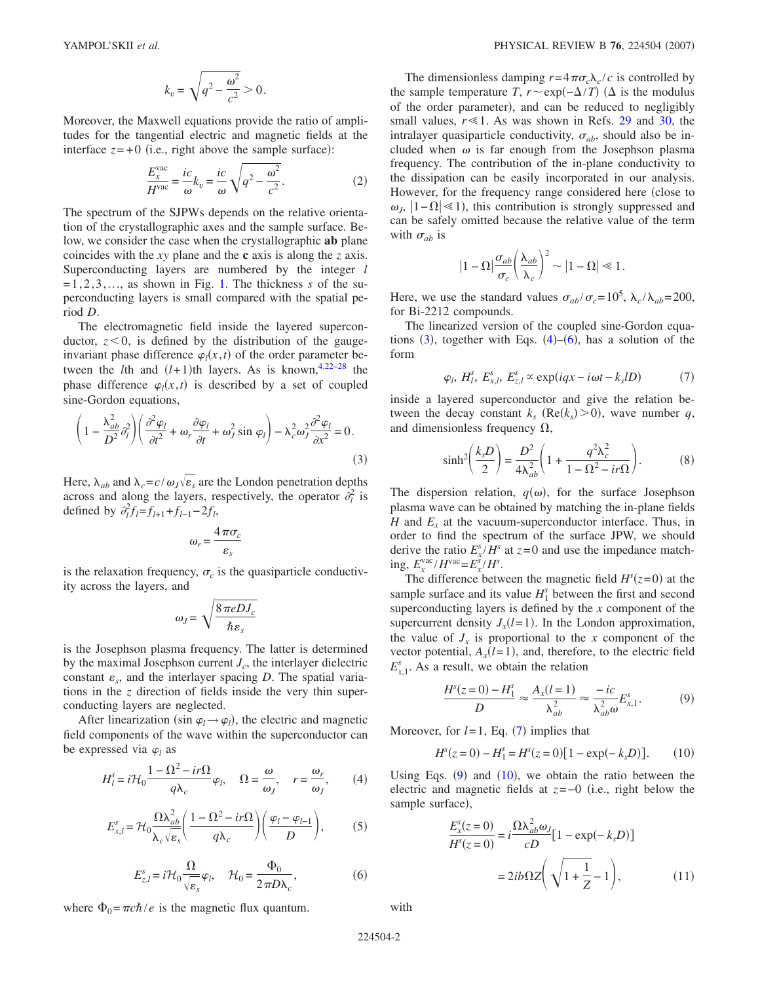$$
k_v = \sqrt{q^2 - \frac{\omega^2}{c^2}} > 0.
$$

<span id="page-1-7"></span>Moreover, the Maxwell equations provide the ratio of amplitudes for the tangential electric and magnetic fields at the interface  $z = +0$  (i.e., right above the sample surface):

$$
\frac{E_x^{\text{vac}}}{H^{\text{vac}}} = \frac{ic}{\omega} k_v = \frac{ic}{\omega} \sqrt{q^2 - \frac{\omega^2}{c^2}}.
$$
 (2)

The spectrum of the SJPWs depends on the relative orientation of the crystallographic axes and the sample surface. Below, we consider the case when the crystallographic **ab** plane coincides with the *xy* plane and the **c** axis is along the *z* axis. Superconducting layers are numbered by the integer *l*  $=1,2,3,...$ , as shown in Fig. [1.](#page-0-0) The thickness *s* of the superconducting layers is small compared with the spatial period *D*.

The electromagnetic field inside the layered superconductor,  $z < 0$ , is defined by the distribution of the gaugeinvariant phase difference  $\varphi_l(x,t)$  of the order parameter between the *l*th and  $(l+1)$ th layers. As is known,<sup>4,[22](#page-6-13)[–28](#page-6-14)</sup> the phase difference  $\varphi_l(x,t)$  is described by a set of coupled sine-Gordon equations,

<span id="page-1-0"></span>
$$
\left(1 - \frac{\lambda_{ab}^2}{D^2} \partial_l^2\right) \left(\frac{\partial^2 \varphi_l}{\partial t^2} + \omega_r \frac{\partial \varphi_l}{\partial t} + \omega_j^2 \sin \varphi_l\right) - \lambda_c^2 \omega_j^2 \frac{\partial^2 \varphi_l}{\partial x^2} = 0.
$$
\n(3)

Here,  $\lambda_{ab}$  and  $\lambda_c = c/\omega_J \sqrt{\varepsilon_s}$  are the London penetration depths across and along the layers, respectively, the operator  $\partial_l^2$  is defined by  $\partial_l^2 f_l = f_{l+1} + f_{l-1} - 2f_l$ ,

$$
\omega_r = \frac{4\pi\sigma_c}{\varepsilon_s}
$$

is the relaxation frequency,  $\sigma_c$  is the quasiparticle conductivity across the layers, and

$$
\omega_J = \sqrt{\frac{8\pi e D J_c}{\hbar \varepsilon_s}}
$$

is the Josephson plasma frequency. The latter is determined by the maximal Josephson current  $J_c$ , the interlayer dielectric constant  $\varepsilon_s$ , and the interlayer spacing *D*. The spatial variations in the *z* direction of fields inside the very thin superconducting layers are neglected.

<span id="page-1-1"></span>After linearization (sin  $\varphi_l \rightarrow \varphi_l$ ), the electric and magnetic field components of the wave within the superconductor can be expressed via  $\varphi_l$  as

$$
H_l^s = i\mathcal{H}_0 \frac{1 - \Omega^2 - ir\Omega}{q\lambda_c} \varphi_l, \quad \Omega = \frac{\omega}{\omega_J}, \quad r = \frac{\omega_r}{\omega_J}, \tag{4}
$$

$$
E_{x,l}^s = \mathcal{H}_0 \frac{\Omega \lambda_{ab}^2}{\lambda_c \sqrt{\varepsilon_s}} \left( \frac{1 - \Omega^2 - ir\Omega}{q\lambda_c} \right) \left( \frac{\varphi_l - \varphi_{l-1}}{D} \right),\tag{5}
$$

$$
E_{z,l}^s = i\mathcal{H}_0 \frac{\Omega}{\sqrt{\varepsilon_s}} \varphi_l, \quad \mathcal{H}_0 = \frac{\Phi_0}{2\pi D\lambda_c},\tag{6}
$$

<span id="page-1-2"></span>where  $\Phi_0 = \pi c \hbar / e$  is the magnetic flux quantum.

The dimensionless damping  $r = 4\pi\sigma_c\lambda_c/c$  is controlled by the sample temperature *T*,  $r \sim \exp(-\Delta/T)$  ( $\Delta$  is the modulus of the order parameter), and can be reduced to negligibly small values,  $r \ll 1$ . As was shown in Refs. [29](#page-6-15) and [30,](#page-6-16) the intralayer quasiparticle conductivity,  $\sigma_{ab}$ , should also be included when  $\omega$  is far enough from the Josephson plasma frequency. The contribution of the in-plane conductivity to the dissipation can be easily incorporated in our analysis. However, for the frequency range considered here (close to  $\omega_j$ ,  $|1-\Omega|$  ≤ 1), this contribution is strongly suppressed and can be safely omitted because the relative value of the term with  $\sigma_{ab}$  is

$$
|1 - \Omega| \frac{\sigma_{ab}}{\sigma_c} \left(\frac{\lambda_{ab}}{\lambda_c}\right)^2 \sim |1 - \Omega| \ll 1.
$$

Here, we use the standard values  $\sigma_{ab}/\sigma_c = 10^5$ ,  $\lambda_c/\lambda_{ab} = 200$ , for Bi-2212 compounds.

The linearized version of the coupled sine-Gordon equations  $(3)$  $(3)$  $(3)$ , together with Eqs.  $(4)$  $(4)$  $(4)$ – $(6)$  $(6)$  $(6)$ , has a solution of the form

$$
\varphi_l, H_l^s, E_{x,l}^s, E_{z,l}^s \propto \exp(iqx - i\omega t - k_s lD) \tag{7}
$$

<span id="page-1-3"></span>inside a layered superconductor and give the relation between the decay constant  $k_s$  ( $Re(k_s) > 0$ ), wave number *q*, and dimensionless frequency  $\Omega$ ,

$$
\sinh^2\left(\frac{k_s D}{2}\right) = \frac{D^2}{4\lambda_{ab}^2} \left(1 + \frac{q^2 \lambda_c^2}{1 - \Omega^2 - ir\Omega}\right). \tag{8}
$$

The dispersion relation,  $q(\omega)$ , for the surface Josephson plasma wave can be obtained by matching the in-plane fields *H* and  $E<sub>x</sub>$  at the vacuum-superconductor interface. Thus, in order to find the spectrum of the surface JPW, we should derive the ratio  $E_x^s / H^s$  at  $z=0$  and use the impedance matching,  $E_x^{\text{vac}} / H^{\text{vac}} = E_x^{\hat{s}} / H^s$ .

The difference between the magnetic field  $H^{s}(z=0)$  at the sample surface and its value  $H_1^s$  between the first and second superconducting layers is defined by the *x* component of the supercurrent density  $J_x(l=1)$ . In the London approximation, the value of  $J_r$  is proportional to the *x* component of the vector potential,  $A_x(l=1)$ , and, therefore, to the electric field  $E_{x,1}^s$ . As a result, we obtain the relation

$$
\frac{H^s(z=0) - H_1^s}{D} \approx \frac{A_x(l=1)}{\lambda_{ab}^2} \approx \frac{-ic}{\lambda_{ab}^2 \omega} E_{x,1}^s.
$$
 (9)

<span id="page-1-5"></span><span id="page-1-4"></span>Moreover, for  $l=1$ , Eq. ([7](#page-1-3)) implies that

$$
H^{s}(z=0) - H^{s}_{1} = H^{s}(z=0)[1 - \exp(-k_{s}D)].
$$
 (10)

<span id="page-1-6"></span>Using Eqs.  $(9)$  $(9)$  $(9)$  and  $(10)$  $(10)$  $(10)$ , we obtain the ratio between the electric and magnetic fields at *z*=−0 i.e., right below the sample surface),

$$
\frac{E_x^s(z=0)}{H^s(z=0)} = i \frac{\Omega \lambda_{ab}^2 \omega_j}{cD} [1 - \exp(-k_s D)]
$$

$$
= 2ib \Omega Z \left( \sqrt{1 + \frac{1}{Z}} - 1 \right), \tag{11}
$$

with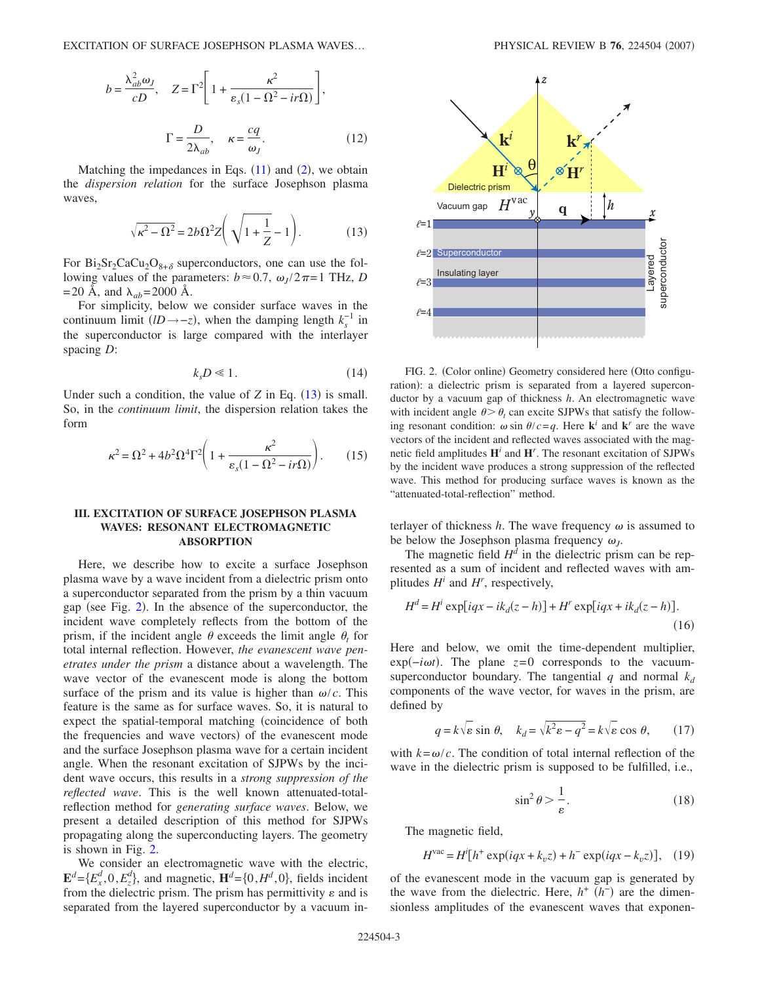<span id="page-2-2"></span>
$$
b = \frac{\lambda_{ab}^2 \omega_J}{cD}, \quad Z = \Gamma^2 \left[ 1 + \frac{\kappa^2}{\varepsilon_s (1 - \Omega^2 - ir\Omega)} \right],
$$

$$
\Gamma = \frac{D}{2\lambda_{ab}}, \quad \kappa = \frac{cq}{\omega_J}.
$$
(12)

<span id="page-2-0"></span>Matching the impedances in Eqs.  $(11)$  $(11)$  $(11)$  and  $(2)$  $(2)$  $(2)$ , we obtain the *dispersion relation* for the surface Josephson plasma waves,

$$
\sqrt{\kappa^2 - \Omega^2} = 2b\Omega^2 Z \left( \sqrt{1 + \frac{1}{Z}} - 1 \right). \tag{13}
$$

For  $Bi_2Sr_2CaCu_2O_{8+\delta}$  superconductors, one can use the following values of the parameters:  $b \approx 0.7$ ,  $\omega_J / 2\pi = 1$  THz, *D*  $=$  20 Å, and  $\lambda_{ab} = 2000$  Å.

For simplicity, below we consider surface waves in the continuum limit  $(lD \rightarrow -z)$ , when the damping length  $k_s^{-1}$  in the superconductor is large compared with the interlayer spacing *D*:

$$
k_s D \ll 1. \tag{14}
$$

Under such a condition, the value of  $Z$  in Eq.  $(13)$  $(13)$  $(13)$  is small. So, in the *continuum limit*, the dispersion relation takes the form

$$
\kappa^2 = \Omega^2 + 4b^2 \Omega^4 \Gamma^2 \left( 1 + \frac{\kappa^2}{\varepsilon_s (1 - \Omega^2 - ir\Omega)} \right). \tag{15}
$$

## **III. EXCITATION OF SURFACE JOSEPHSON PLASMA WAVES: RESONANT ELECTROMAGNETIC ABSORPTION**

Here, we describe how to excite a surface Josephson plasma wave by a wave incident from a dielectric prism onto a superconductor separated from the prism by a thin vacuum gap (see Fig. [2](#page-2-1)). In the absence of the superconductor, the incident wave completely reflects from the bottom of the prism, if the incident angle  $\theta$  exceeds the limit angle  $\theta_t$  for total internal reflection. However, *the evanescent wave penetrates under the prism* a distance about a wavelength. The wave vector of the evanescent mode is along the bottom surface of the prism and its value is higher than  $\omega/c$ . This feature is the same as for surface waves. So, it is natural to expect the spatial-temporal matching (coincidence of both the frequencies and wave vectors) of the evanescent mode and the surface Josephson plasma wave for a certain incident angle. When the resonant excitation of SJPWs by the incident wave occurs, this results in a *strong suppression of the reflected wave*. This is the well known attenuated-totalreflection method for *generating surface waves*. Below, we present a detailed description of this method for SJPWs propagating along the superconducting layers. The geometry is shown in Fig. [2.](#page-2-1)

We consider an electromagnetic wave with the electric,  $\mathbf{E}^{d} = \{E_x^d, 0, E_z^d\}$ , and magnetic,  $\mathbf{H}^{d} = \{0, H^d, 0\}$ , fields incident from the dielectric prism. The prism has permittivity  $\varepsilon$  and is separated from the layered superconductor by a vacuum in-

<span id="page-2-1"></span>

FIG. 2. (Color online) Geometry considered here (Otto configuration): a dielectric prism is separated from a layered superconductor by a vacuum gap of thickness *h*. An electromagnetic wave with incident angle  $\theta > \theta_t$  can excite SJPWs that satisfy the following resonant condition:  $\omega \sin \theta / c = q$ . Here **k**<sup>*i*</sup> and **k**<sup>*r*</sup> are the wave vectors of the incident and reflected waves associated with the magnetic field amplitudes **H***<sup>i</sup>* and **H***<sup>r</sup>* . The resonant excitation of SJPWs by the incident wave produces a strong suppression of the reflected wave. This method for producing surface waves is known as the "attenuated-total-reflection" method.

terlayer of thickness  $h$ . The wave frequency  $\omega$  is assumed to be below the Josephson plasma frequency  $\omega_j$ .

The magnetic field  $H^d$  in the dielectric prism can be represented as a sum of incident and reflected waves with amplitudes  $H^i$  and  $H^r$ , respectively,

$$
Hd = Hi exp[iqx - ikd(z - h)] + Hr exp[iqx + ikd(z - h)].
$$
\n(16)

Here and below, we omit the time-dependent multiplier,  $exp(-i\omega t)$ . The plane  $z=0$  corresponds to the vacuumsuperconductor boundary. The tangential  $q$  and normal  $k_d$ components of the wave vector, for waves in the prism, are defined by

$$
q = k\sqrt{\varepsilon} \sin \theta, \quad k_d = \sqrt{k^2 \varepsilon - q^2} = k\sqrt{\varepsilon} \cos \theta, \quad (17)
$$

with  $k = \omega/c$ . The condition of total internal reflection of the wave in the dielectric prism is supposed to be fulfilled, i.e.,

$$
\sin^2 \theta > \frac{1}{\varepsilon}.\tag{18}
$$

The magnetic field,

$$
Hvac = Hi[h+ exp(iqx + kvz) + h- exp(iqx - kvz)], (19)
$$

of the evanescent mode in the vacuum gap is generated by the wave from the dielectric. Here,  $h^+$  ( $h^-$ ) are the dimensionless amplitudes of the evanescent waves that exponen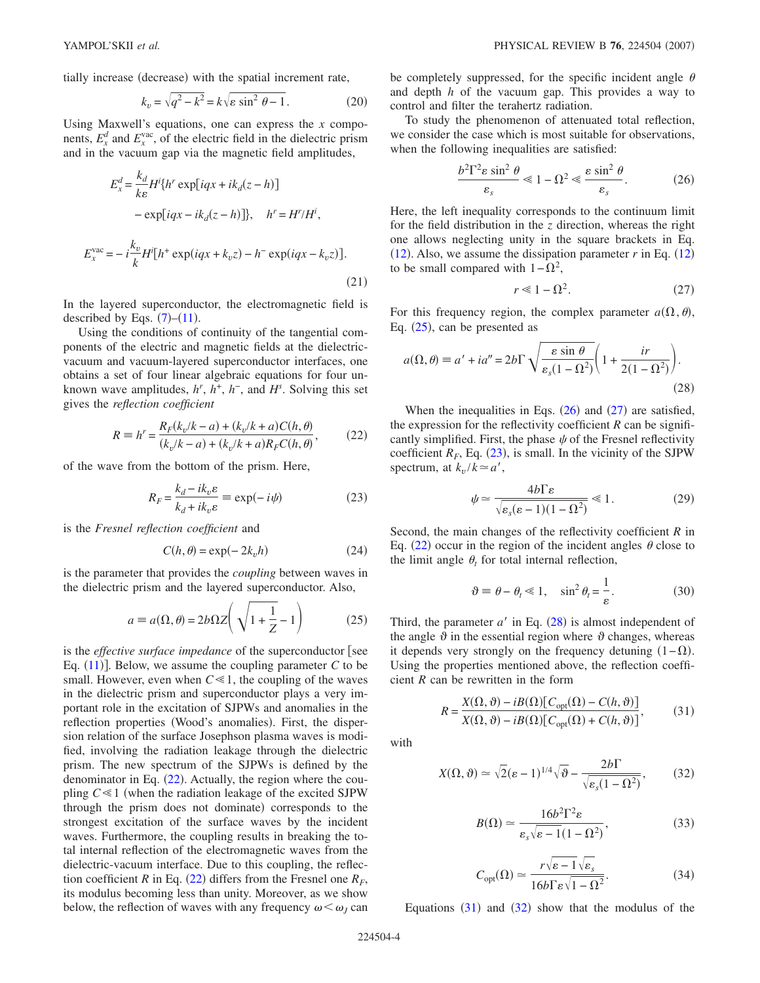<span id="page-3-9"></span>tially increase (decrease) with the spatial increment rate,

$$
k_v = \sqrt{q^2 - k^2} = k\sqrt{\varepsilon \sin^2 \theta - 1}.
$$
 (20)

Using Maxwell's equations, one can express the *x* components,  $E_x^d$  and  $E_x^{\text{vac}}$ , of the electric field in the dielectric prism and in the vacuum gap via the magnetic field amplitudes,

$$
E_x^d = \frac{k_d}{k\varepsilon} H^i \{ h^r \exp[iqx + ik_d(z - h)]
$$
  

$$
- \exp[iqx - ik_d(z - h)] \}, \quad h^r = H^r / H^i,
$$
  

$$
E_x^{\text{vac}} = -i\frac{k_v}{k} H^i [h^+ \exp(iqx + k_v z) - h^- \exp(iqx - k_v z)].
$$
  
(21)

In the layered superconductor, the electromagnetic field is described by Eqs.  $(7)-(11)$  $(7)-(11)$  $(7)-(11)$  $(7)-(11)$  $(7)-(11)$ .

Using the conditions of continuity of the tangential components of the electric and magnetic fields at the dielectricvacuum and vacuum-layered superconductor interfaces, one obtains a set of four linear algebraic equations for four unknown wave amplitudes,  $h^r$ ,  $h^+$ ,  $h^-$ , and  $H^s$ . Solving this set gives the *reflection coefficient*

$$
R = h' = \frac{R_F(k_v/k - a) + (k_v/k + a)C(h, \theta)}{(k_v/k - a) + (k_v/k + a)R_F C(h, \theta)},
$$
(22)

<span id="page-3-4"></span><span id="page-3-0"></span>of the wave from the bottom of the prism. Here,

$$
R_F = \frac{k_d - ik_v \varepsilon}{k_d + ik_v \varepsilon} \equiv \exp(-i\psi)
$$
 (23)

is the *Fresnel reflection coefficient* and

$$
C(h, \theta) = \exp(-2k_v h) \tag{24}
$$

<span id="page-3-1"></span>is the parameter that provides the *coupling* between waves in the dielectric prism and the layered superconductor. Also,

$$
a \equiv a(\Omega, \theta) = 2b\Omega Z \left( \sqrt{1 + \frac{1}{Z}} - 1 \right) \tag{25}
$$

is the *effective surface impedance* of the superconductor see Eq.  $(11)$  $(11)$  $(11)$ ]. Below, we assume the coupling parameter  $C$  to be small. However, even when  $C \ll 1$ , the coupling of the waves in the dielectric prism and superconductor plays a very important role in the excitation of SJPWs and anomalies in the reflection properties (Wood's anomalies). First, the dispersion relation of the surface Josephson plasma waves is modified, involving the radiation leakage through the dielectric prism. The new spectrum of the SJPWs is defined by the denominator in Eq.  $(22)$  $(22)$  $(22)$ . Actually, the region where the coupling  $C \ll 1$  (when the radiation leakage of the excited SJPW through the prism does not dominate) corresponds to the strongest excitation of the surface waves by the incident waves. Furthermore, the coupling results in breaking the total internal reflection of the electromagnetic waves from the dielectric-vacuum interface. Due to this coupling, the reflection coefficient *R* in Eq. ([22](#page-3-0)) differs from the Fresnel one  $R_F$ , its modulus becoming less than unity. Moreover, as we show below, the reflection of waves with any frequency  $\omega < \omega_j$  can

be completely suppressed, for the specific incident angle  $\theta$ and depth *h* of the vacuum gap. This provides a way to control and filter the terahertz radiation.

<span id="page-3-2"></span>To study the phenomenon of attenuated total reflection, we consider the case which is most suitable for observations, when the following inequalities are satisfied:

$$
\frac{b^2 \Gamma^2 \varepsilon \sin^2 \theta}{\varepsilon_s} \ll 1 - \Omega^2 \ll \frac{\varepsilon \sin^2 \theta}{\varepsilon_s}.
$$
 (26)

Here, the left inequality corresponds to the continuum limit for the field distribution in the *z* direction, whereas the right one allows neglecting unity in the square brackets in Eq.  $(12)$  $(12)$  $(12)$ . Also, we assume the dissipation parameter *r* in Eq.  $(12)$ to be small compared with  $1 - \Omega^2$ ,

$$
r \ll 1 - \Omega^2. \tag{27}
$$

<span id="page-3-3"></span>For this frequency region, the complex parameter  $a(\Omega, \theta)$ , Eq.  $(25)$  $(25)$  $(25)$ , can be presented as

<span id="page-3-5"></span>
$$
a(\Omega, \theta) \equiv a' + ia'' = 2b\Gamma \sqrt{\frac{\varepsilon \sin \theta}{\varepsilon_s (1 - \Omega^2)}} \left( 1 + \frac{ir}{2(1 - \Omega^2)} \right).
$$
\n(28)

When the inequalities in Eqs.  $(26)$  $(26)$  $(26)$  and  $(27)$  $(27)$  $(27)$  are satisfied, the expression for the reflectivity coefficient *R* can be significantly simplified. First, the phase  $\psi$  of the Fresnel reflectivity coefficient  $R_F$ , Eq. ([23](#page-3-4)), is small. In the vicinity of the SJPW spectrum, at  $k_n/k \approx a'$ ,

$$
\psi \simeq \frac{4b\Gamma\varepsilon}{\sqrt{\varepsilon_s(\varepsilon - 1)(1 - \Omega^2)}} \ll 1. \tag{29}
$$

Second, the main changes of the reflectivity coefficient *R* in Eq. ([22](#page-3-0)) occur in the region of the incident angles  $\theta$  close to the limit angle  $\theta_t$  for total internal reflection,

$$
\vartheta \equiv \theta - \theta_t \ll 1, \quad \sin^2 \theta_t = \frac{1}{\varepsilon}.
$$
 (30)

Third, the parameter  $a'$  in Eq.  $(28)$  $(28)$  $(28)$  is almost independent of the angle  $\vartheta$  in the essential region where  $\vartheta$  changes, whereas it depends very strongly on the frequency detuning  $(1 - \Omega)$ . Using the properties mentioned above, the reflection coefficient *R* can be rewritten in the form

$$
R = \frac{X(\Omega, \vartheta) - iB(\Omega)[C_{\text{opt}}(\Omega) - C(h, \vartheta)]}{X(\Omega, \vartheta) - iB(\Omega)[C_{\text{opt}}(\Omega) + C(h, \vartheta)]},
$$
(31)

<span id="page-3-7"></span><span id="page-3-6"></span>with

$$
X(\Omega, \vartheta) \simeq \sqrt{2}(\varepsilon - 1)^{1/4} \sqrt{\vartheta} - \frac{2b\Gamma}{\sqrt{\varepsilon_s (1 - \Omega^2)}},\qquad(32)
$$

$$
B(\Omega) \simeq \frac{16b^2 \Gamma^2 \varepsilon}{\varepsilon_s \sqrt{\varepsilon - 1} (1 - \Omega^2)},
$$
\n(33)

$$
C_{\rm opt}(\Omega) \simeq \frac{r\sqrt{\varepsilon - 1}\sqrt{\varepsilon_s}}{16b\Gamma\varepsilon\sqrt{1 - \Omega^2}}.\tag{34}
$$

<span id="page-3-8"></span>Equations  $(31)$  $(31)$  $(31)$  and  $(32)$  $(32)$  $(32)$  show that the modulus of the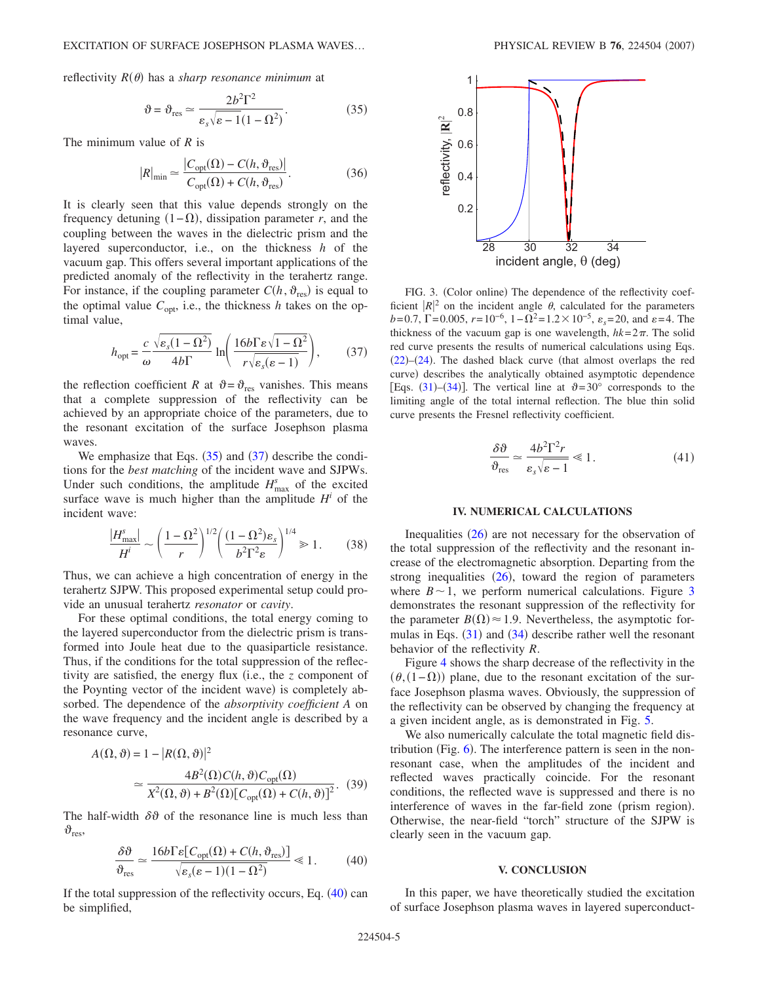<span id="page-4-0"></span>reflectivity  $R(\theta)$  has a *sharp resonance minimum* at

$$
\vartheta = \vartheta_{\rm res} \simeq \frac{2b^2\Gamma^2}{\varepsilon_s\sqrt{\varepsilon - 1}(1 - \Omega^2)}.
$$
 (35)

The minimum value of *R* is

$$
|R|_{\min} \simeq \frac{|C_{\text{opt}}(\Omega) - C(h, \vartheta_{\text{res}})|}{C_{\text{opt}}(\Omega) + C(h, \vartheta_{\text{res}})}.
$$
 (36)

It is clearly seen that this value depends strongly on the frequency detuning  $(1 - \Omega)$ , dissipation parameter *r*, and the coupling between the waves in the dielectric prism and the layered superconductor, i.e., on the thickness *h* of the vacuum gap. This offers several important applications of the predicted anomaly of the reflectivity in the terahertz range. For instance, if the coupling parameter  $C(h, \vartheta_{\text{res}})$  is equal to the optimal value  $C_{opt}$ , i.e., the thickness *h* takes on the optimal value,

$$
h_{\rm opt} = \frac{c}{\omega} \frac{\sqrt{\varepsilon_s (1 - \Omega^2)}}{4b\Gamma} \ln \left( \frac{16b\Gamma \varepsilon \sqrt{1 - \Omega^2}}{r\sqrt{\varepsilon_s (\varepsilon - 1)}} \right),\tag{37}
$$

<span id="page-4-1"></span>the reflection coefficient *R* at  $\vartheta = \vartheta_{\text{res}}$  vanishes. This means that a complete suppression of the reflectivity can be achieved by an appropriate choice of the parameters, due to the resonant excitation of the surface Josephson plasma waves.

We emphasize that Eqs.  $(35)$  $(35)$  $(35)$  and  $(37)$  $(37)$  $(37)$  describe the conditions for the *best matching* of the incident wave and SJPWs. Under such conditions, the amplitude  $H_{\text{max}}^s$  of the excited surface wave is much higher than the amplitude  $H^i$  of the incident wave:

$$
\frac{|H_{\text{max}}^s|}{H^i} \sim \left(\frac{1-\Omega^2}{r}\right)^{1/2} \left(\frac{(1-\Omega^2)\varepsilon_s}{b^2\Gamma^2\varepsilon}\right)^{1/4} \gg 1. \tag{38}
$$

<span id="page-4-4"></span>Thus, we can achieve a high concentration of energy in the terahertz SJPW. This proposed experimental setup could provide an unusual terahertz *resonator* or *cavity*.

For these optimal conditions, the total energy coming to the layered superconductor from the dielectric prism is transformed into Joule heat due to the quasiparticle resistance. Thus, if the conditions for the total suppression of the reflectivity are satisfied, the energy flux (i.e., the *z* component of the Poynting vector of the incident wave) is completely absorbed. The dependence of the *absorptivity coefficient A* on the wave frequency and the incident angle is described by a resonance curve,

$$
A(\Omega, \vartheta) = 1 - |R(\Omega, \vartheta)|^2
$$
  
\n
$$
\approx \frac{4B^2(\Omega)C(h, \vartheta)C_{\text{opt}}(\Omega)}{X^2(\Omega, \vartheta) + B^2(\Omega)[C_{\text{opt}}(\Omega) + C(h, \vartheta)]^2}.
$$
 (39)

<span id="page-4-2"></span>The half-width  $\delta \vartheta$  of the resonance line is much less than  $\vartheta_{\text{res}}$ 

$$
\frac{\delta\vartheta}{\vartheta_{\rm res}} \simeq \frac{16b\Gamma\varepsilon [C_{\rm opt}(\Omega) + C(h, \vartheta_{\rm res})]}{\sqrt{\varepsilon_s(\varepsilon - 1)(1 - \Omega^2)}} \ll 1.
$$
 (40)

If the total suppression of the reflectivity occurs, Eq. ([40](#page-4-2)) can be simplified,

<span id="page-4-3"></span>

FIG. 3. (Color online) The dependence of the reflectivity coefficient  $|R|^2$  on the incident angle  $\theta$ , calculated for the parameters  $b=0.7$ ,  $\Gamma=0.005$ ,  $r=10^{-6}$ ,  $1-\Omega^2=1.2\times10^{-5}$ ,  $\varepsilon_s=20$ , and  $\varepsilon=4$ . The thickness of the vacuum gap is one wavelength,  $hk = 2\pi$ . The solid red curve presents the results of numerical calculations using Eqs.  $(22)$  $(22)$  $(22)$ - $(24)$  $(24)$  $(24)$ . The dashed black curve (that almost overlaps the red curve) describes the analytically obtained asymptotic dependence [Eqs. ([31](#page-3-6))–([34](#page-3-8))]. The vertical line at  $\vartheta = 30^{\circ}$  corresponds to the limiting angle of the total internal reflection. The blue thin solid curve presents the Fresnel reflectivity coefficient.

$$
\frac{\delta\vartheta}{\vartheta_{\rm res}} \simeq \frac{4b^2\Gamma^2r}{\varepsilon_s\sqrt{\varepsilon - 1}} \ll 1.
$$
 (41)

#### **IV. NUMERICAL CALCULATIONS**

Inequalities  $(26)$  $(26)$  $(26)$  are not necessary for the observation of the total suppression of the reflectivity and the resonant increase of the electromagnetic absorption. Departing from the strong inequalities  $(26)$  $(26)$  $(26)$ , toward the region of parameters where  $B \sim 1$ , we perform numerical calculations. Figure [3](#page-4-3) demonstrates the resonant suppression of the reflectivity for the parameter  $B(\Omega) \approx 1.9$ . Nevertheless, the asymptotic formulas in Eqs.  $(31)$  $(31)$  $(31)$  and  $(34)$  $(34)$  $(34)$  describe rather well the resonant behavior of the reflectivity *R*.

Figure [4](#page-5-0) shows the sharp decrease of the reflectivity in the  $(\theta,(1-\Omega))$  plane, due to the resonant excitation of the surface Josephson plasma waves. Obviously, the suppression of the reflectivity can be observed by changing the frequency at a given incident angle, as is demonstrated in Fig. [5.](#page-5-1)

We also numerically calculate the total magnetic field distribution (Fig.  $6$ ). The interference pattern is seen in the nonresonant case, when the amplitudes of the incident and reflected waves practically coincide. For the resonant conditions, the reflected wave is suppressed and there is no interference of waves in the far-field zone (prism region). Otherwise, the near-field "torch" structure of the SJPW is clearly seen in the vacuum gap.

#### **V. CONCLUSION**

In this paper, we have theoretically studied the excitation of surface Josephson plasma waves in layered superconduct-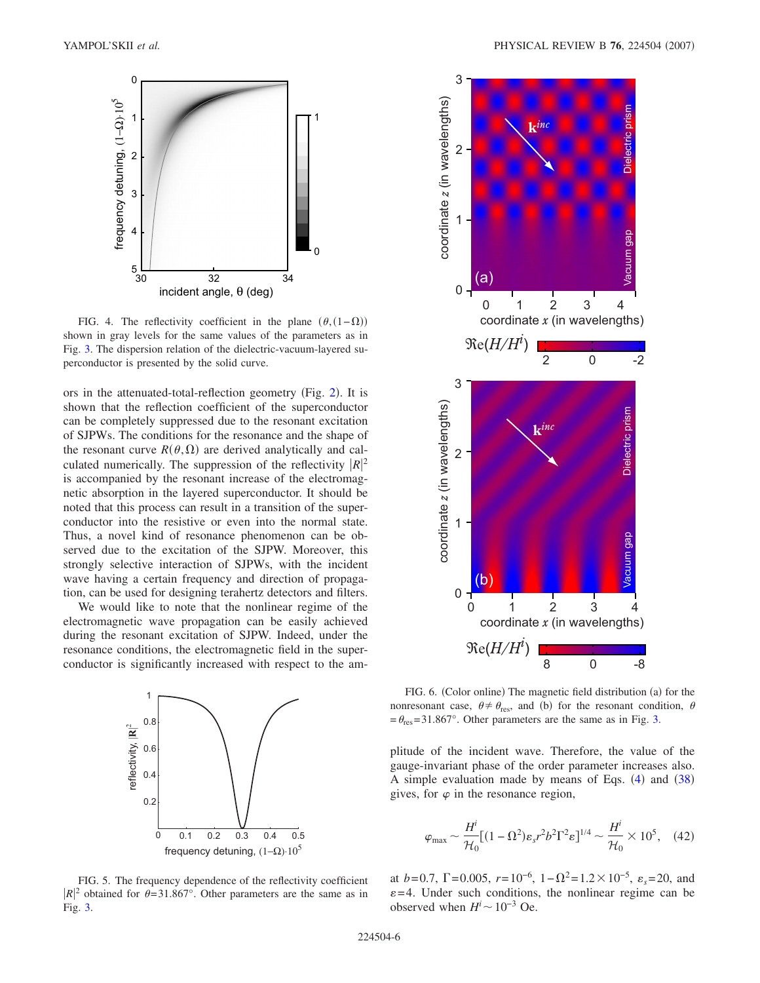<span id="page-5-0"></span>

FIG. 4. The reflectivity coefficient in the plane  $(\theta,(1-\Omega))$ shown in gray levels for the same values of the parameters as in Fig. [3.](#page-4-3) The dispersion relation of the dielectric-vacuum-layered superconductor is presented by the solid curve.

ors in the attenuated-total-reflection geometry (Fig. [2](#page-2-1)). It is shown that the reflection coefficient of the superconductor can be completely suppressed due to the resonant excitation of SJPWs. The conditions for the resonance and the shape of the resonant curve  $R(\theta, \Omega)$  are derived analytically and calculated numerically. The suppression of the reflectivity  $|R|^2$ is accompanied by the resonant increase of the electromagnetic absorption in the layered superconductor. It should be noted that this process can result in a transition of the superconductor into the resistive or even into the normal state. Thus, a novel kind of resonance phenomenon can be observed due to the excitation of the SJPW. Moreover, this strongly selective interaction of SJPWs, with the incident wave having a certain frequency and direction of propagation, can be used for designing terahertz detectors and filters.

We would like to note that the nonlinear regime of the electromagnetic wave propagation can be easily achieved during the resonant excitation of SJPW. Indeed, under the resonance conditions, the electromagnetic field in the superconductor is significantly increased with respect to the am-

<span id="page-5-1"></span>

<span id="page-5-2"></span>

FIG. 6. (Color online) The magnetic field distribution (a) for the nonresonant case,  $\theta \neq \theta_{\text{res}}$ , and (b) for the resonant condition,  $\theta$  $=\theta_{\text{res}}=31.867^{\circ}$ . Other parameters are the same as in Fig. [3.](#page-4-3)

plitude of the incident wave. Therefore, the value of the gauge-invariant phase of the order parameter increases also. A simple evaluation made by means of Eqs.  $(4)$  $(4)$  $(4)$  and  $(38)$  $(38)$  $(38)$ gives, for  $\varphi$  in the resonance region,

$$
\varphi_{\text{max}} \sim \frac{H^i}{\mathcal{H}_0} \left[ (1 - \Omega^2) \varepsilon_s r^2 b^2 \Gamma^2 \varepsilon \right]^{1/4} \sim \frac{H^i}{\mathcal{H}_0} \times 10^5, \quad (42)
$$

at *b*=0.7,  $\Gamma$ =0.005,  $r=10^{-6}$ ,  $1-\Omega^2=1.2\times10^{-5}$ ,  $\varepsilon_s=20$ , and  $\varepsilon$ =4. Under such conditions, the nonlinear regime can be observed when  $H^i \sim 10^{-3}$  Oe.